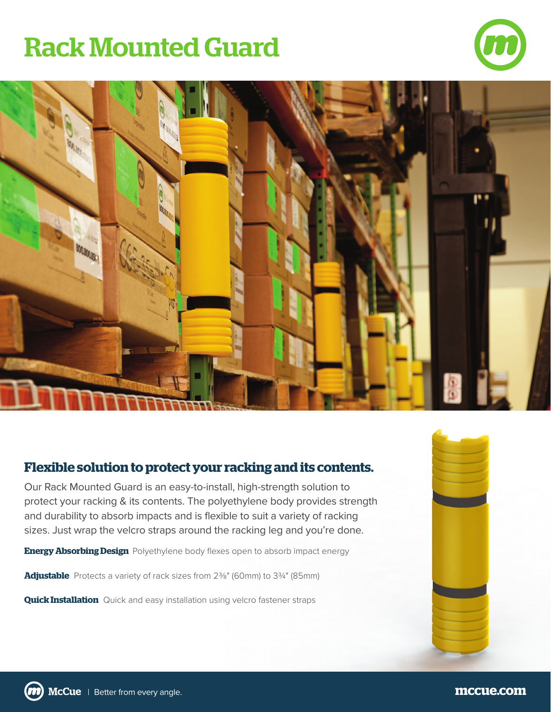## Rack Mounted Guard





## **Flexible solution to protect your racking and its contents.**

Our Rack Mounted Guard is an easy-to-install, high-strength solution to protect your racking & its contents. The polyethylene body provides strength and durability to absorb impacts and is flexible to suit a variety of racking sizes. Just wrap the velcro straps around the racking leg and you're done.

**Energy Absorbing Design** Polyethylene body flexes open to absorb impact energy

Adjustable Protects a variety of rack sizes from 2<sup>3</sup>%" (60mm) to 3<sup>3</sup>/4" (85mm)

**Quick Installation** Quick and easy installation using velcro fastener straps